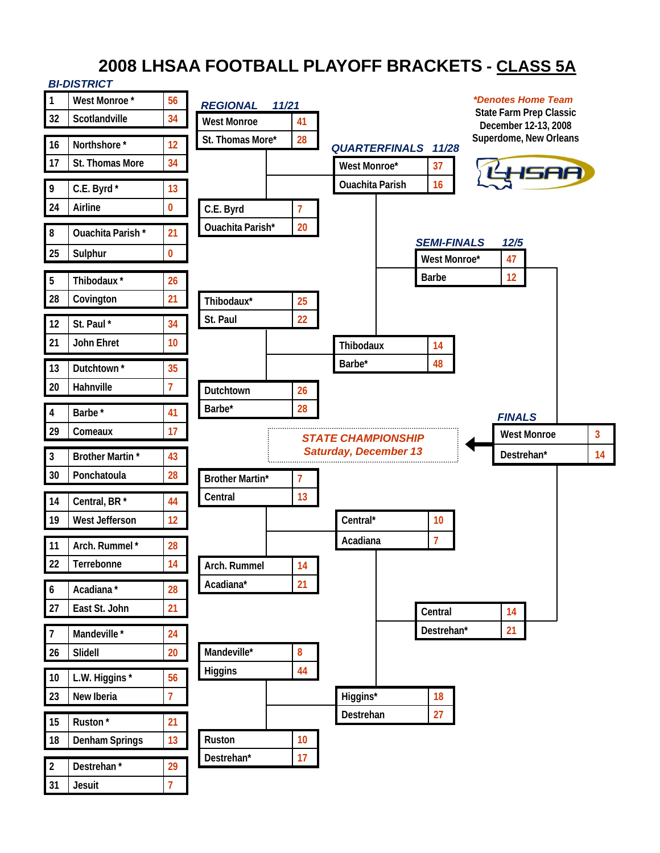# **2008 LHSAA FOOTBALL PLAYOFF BRACKETS - CLASS 5A**

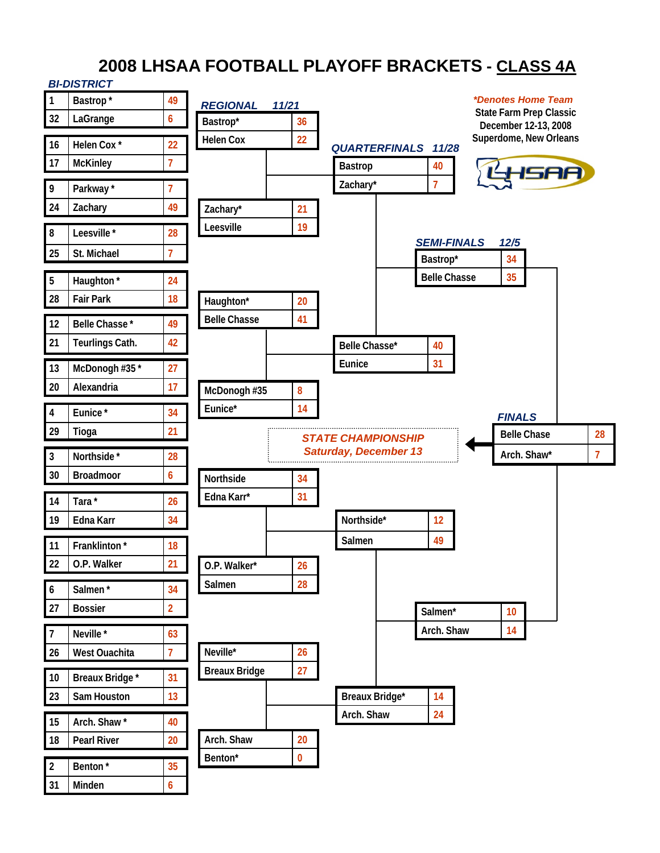# **2008 LHSAA FOOTBALL PLAYOFF BRACKETS - CLASS 4A**

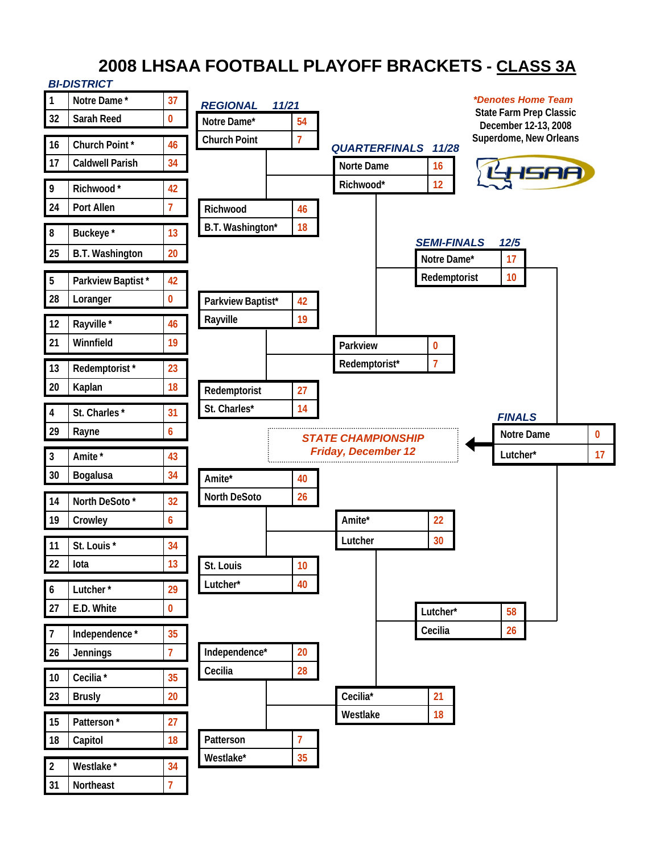# **2008 LHSAA FOOTBALL PLAYOFF BRACKETS - CLASS 3A**

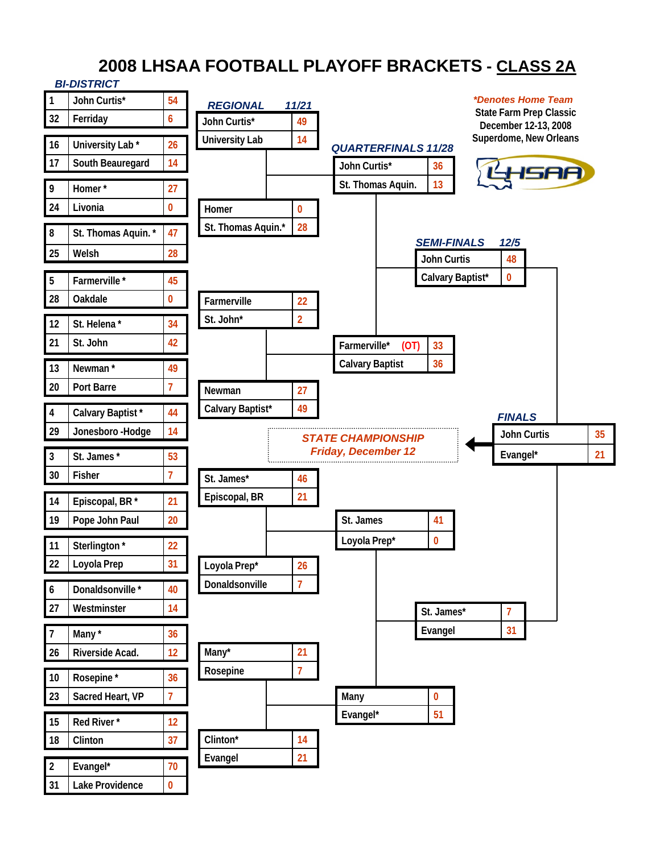# **2008 LHSAA FOOTBALL PLAYOFF BRACKETS - CLASS 2A**